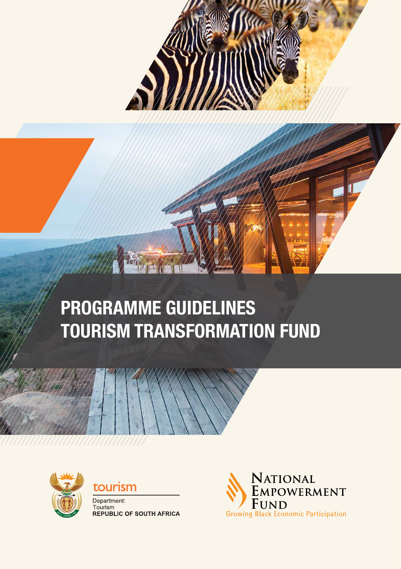

# **PROGRAMME GUIDELINES TOURISM TRANSFORMATION FUND**





Department: Tourism<br>REPUBLIC OF SOUTH AFRICA

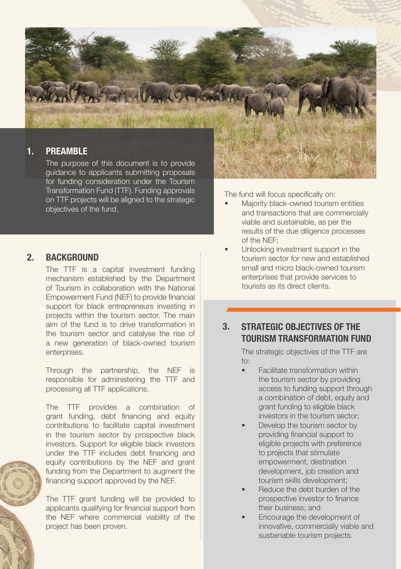

guidance to applicants submitting proposals for funding consideration under the Tourism Transformation Fund (TTF). Funding approvals on TTF projects will be aligned to the strategic objectives of the fund.

#### **2. BACKGROUND**

The TTF is a capital investment funding mechanism established by the Department of Tourism in collaboration with the National Empowerment Fund (NEF) to provide financial support for black entrepreneurs investing in projects within the tourism sector. The main aim of the fund is to drive transformation in the tourism sector and catalyse the rise of a new generation of black-owned tourism enterprises.

Through the partnership, the NEF is responsible for administering the TTF and processing all TTF applications.

The TTF provides a combination of grant funding, debt financing and equity contributions to facilitate capital investment in the tourism sector by prospective black investors. Support for eligible black investors under the TTF includes debt financing and equity contributions by the NEF and grant funding from the Department to augment the financing support approved by the NEF.

The TTF grant funding will be provided to applicants qualifying for financial support from the NEF where commercial viability of the project has been proven.

The fund will focus specifically on:

- Majority black-owned tourism entities and transactions that are commercially viable and sustainable, as per the results of the due diligence processes of the NEF;
- Unlocking investment support in the tourism sector for new and established small and micro black-owned tourism enterprises that provide services to tourists as its direct clients.

### **3. STRATEGIC OBJECTIVES OF THE TOURISM TRANSFORMATION FUND**

The strategic objectives of the TTF are to:

- Facilitate transformation within the tourism sector by providing access to funding support through a combination of debt, equity and grant funding to eligible black investors in the tourism sector;
- Develop the tourism sector by providing financial support to eligible projects with preference to projects that stimulate empowerment, destination development, job creation and tourism skills development;
- Reduce the debt burden of the prospective investor to finance their business; and
- Encourage the development of innovative, commercially viable and sustainable tourism projects.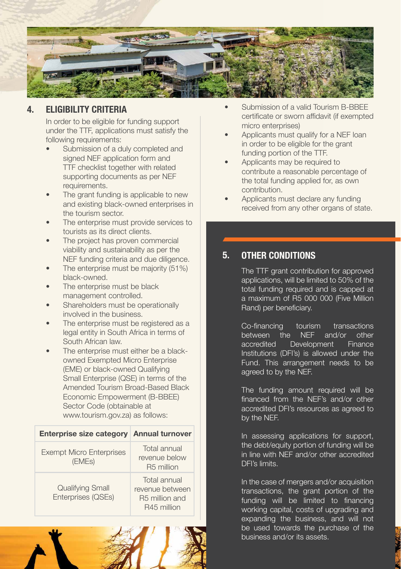

# **4. ELIGIBILITY CRITERIA**

In order to be eligible for funding support under the TTF, applications must satisfy the following requirements:

- Submission of a duly completed and signed NFF application form and TTF checklist together with related supporting documents as per NEF requirements.
- The grant funding is applicable to new and existing black-owned enterprises in the tourism sector.
- The enterprise must provide services to tourists as its direct clients.
- The project has proven commercial viability and sustainability as per the NEF funding criteria and due diligence.
- The enterprise must be majority (51%) black-owned.
- The enterprise must be black management controlled.
- Shareholders must be operationally involved in the business.
- The enterprise must be registered as a legal entity in South Africa in terms of South African law.
- The enterprise must either be a blackowned Exempted Micro Enterprise (EME) or black-owned Qualifying Small Enterprise (QSE) in terms of the Amended Tourism Broad-Based Black Economic Empowerment (B-BBEE) Sector Code (obtainable at www.tourism.gov.za) as follows:

| Enterprise size category Annual turnover      |                                                                              |
|-----------------------------------------------|------------------------------------------------------------------------------|
| <b>Exempt Micro Enterprises</b><br>(EMEs)     | Total annual<br>revenue below<br>R <sub>5</sub> million                      |
| <b>Qualifying Small</b><br>Enterprises (QSEs) | Total annual<br>revenue between<br>R <sub>5</sub> million and<br>R45 million |



- Submission of a valid Tourism B-BBEE certificate or sworn affidavit (if exempted micro enterprises)
- Applicants must qualify for a NEF loan in order to be eligible for the grant funding portion of the TTF.
- Applicants may be required to contribute a reasonable percentage of the total funding applied for, as own contribution.
- Applicants must declare any funding received from any other organs of state.

## **5. OTHER CONDITIONS**

The TTF grant contribution for approved applications, will be limited to 50% of the total funding required and is capped at a maximum of R5 000 000 (Five Million Rand) per beneficiary.

Co-financing tourism transactions<br>between the NFF and/or other between the NEF and/or other<br>accredited Development Finance Development Institutions (DFI's) is allowed under the Fund. This arrangement needs to be agreed to by the NEF.

The funding amount required will be financed from the NEF's and/or other accredited DFI's resources as agreed to by the NEF.

In assessing applications for support, the debt/equity portion of funding will be in line with NEF and/or other accredited DFI's limits.

In the case of mergers and/or acquisition transactions, the grant portion of the funding will be limited to financing working capital, costs of upgrading and expanding the business, and will not be used towards the purchase of the business and/or its assets.